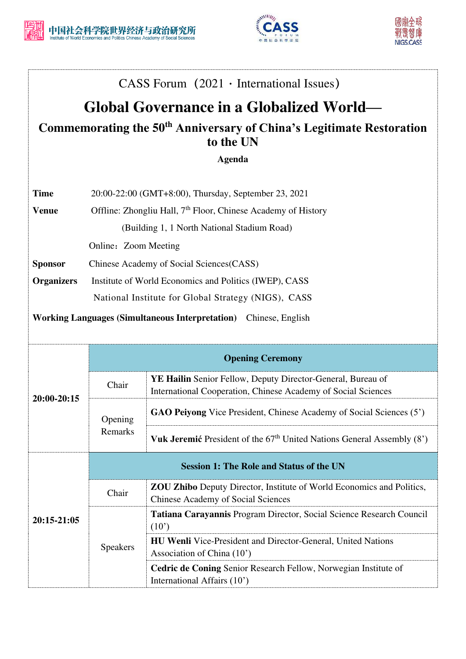



## CASS Forum  $(2021 \cdot International Issues)$

## **Global Governance in a Globalized World—**

## **Commemorating the 50th Anniversary of China's Legitimate Restoration to the UN**

**Agenda** 

| <b>Time</b>  | 20:00-22:00 (GMT+8:00), Thursday, September 23, 2021                      |
|--------------|---------------------------------------------------------------------------|
| <b>Venue</b> | Offline: Zhongliu Hall, 7 <sup>th</sup> Floor, Chinese Academy of History |
|              | (Building 1, 1 North National Stadium Road)                               |

Online: Zoom Meeting

**Sponsor** Chinese Academy of Social Sciences(CASS)

**Organizers** Institute of World Economics and Politics (IWEP), CASS National Institute for Global Strategy (NIGS), CASS

**Working Languages (Simultaneous Interpretation)** Chinese, English

| 20:00-20:15 | <b>Opening Ceremony</b>                         |                                                                                                                                     |  |  |
|-------------|-------------------------------------------------|-------------------------------------------------------------------------------------------------------------------------------------|--|--|
|             | Chair                                           | <b>YE Hailin</b> Senior Fellow, Deputy Director-General, Bureau of<br>International Cooperation, Chinese Academy of Social Sciences |  |  |
|             | Opening<br>Remarks                              | <b>GAO Peiyong Vice President, Chinese Academy of Social Sciences (5')</b>                                                          |  |  |
|             |                                                 | <b>Vuk Jeremić</b> President of the $67th$ United Nations General Assembly $(8')$                                                   |  |  |
| 20:15-21:05 | <b>Session 1: The Role and Status of the UN</b> |                                                                                                                                     |  |  |
|             | Chair                                           | <b>ZOU Zhibo</b> Deputy Director, Institute of World Economics and Politics,<br>Chinese Academy of Social Sciences                  |  |  |
|             | <b>Speakers</b>                                 | Tatiana Carayannis Program Director, Social Science Research Council<br>$(10^{\circ})$                                              |  |  |
|             |                                                 | <b>HU Wenli</b> Vice-President and Director-General, United Nations<br>Association of China (10')                                   |  |  |
|             |                                                 | Cedric de Coning Senior Research Fellow, Norwegian Institute of<br>International Affairs (10')                                      |  |  |